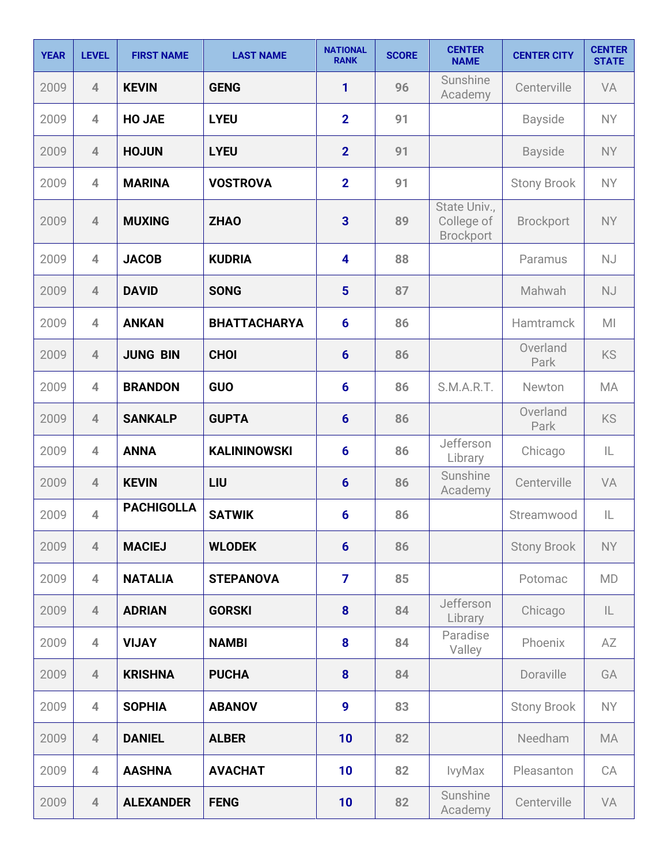| <b>YEAR</b> | <b>LEVEL</b>   | <b>FIRST NAME</b> | <b>LAST NAME</b>    | <b>NATIONAL</b><br><b>RANK</b> | <b>SCORE</b> | <b>CENTER</b><br><b>NAME</b>                   | <b>CENTER CITY</b> | <b>CENTER</b><br><b>STATE</b> |
|-------------|----------------|-------------------|---------------------|--------------------------------|--------------|------------------------------------------------|--------------------|-------------------------------|
| 2009        | $\overline{4}$ | <b>KEVIN</b>      | <b>GENG</b>         | 1                              | 96           | Sunshine<br>Academy                            | Centerville        | VA                            |
| 2009        | $\overline{4}$ | <b>HO JAE</b>     | <b>LYEU</b>         | $\overline{2}$                 | 91           |                                                | <b>Bayside</b>     | <b>NY</b>                     |
| 2009        | $\overline{4}$ | <b>HOJUN</b>      | <b>LYEU</b>         | $\overline{2}$                 | 91           |                                                | <b>Bayside</b>     | <b>NY</b>                     |
| 2009        | $\overline{4}$ | <b>MARINA</b>     | <b>VOSTROVA</b>     | $\overline{2}$                 | 91           |                                                | <b>Stony Brook</b> | <b>NY</b>                     |
| 2009        | $\overline{4}$ | <b>MUXING</b>     | <b>ZHAO</b>         | 3                              | 89           | State Univ.,<br>College of<br><b>Brockport</b> | <b>Brockport</b>   | <b>NY</b>                     |
| 2009        | $\overline{4}$ | <b>JACOB</b>      | <b>KUDRIA</b>       | 4                              | 88           |                                                | Paramus            | <b>NJ</b>                     |
| 2009        | $\overline{4}$ | <b>DAVID</b>      | <b>SONG</b>         | $5\phantom{1}$                 | 87           |                                                | Mahwah             | NJ                            |
| 2009        | $\overline{4}$ | <b>ANKAN</b>      | <b>BHATTACHARYA</b> | $6\phantom{1}$                 | 86           |                                                | Hamtramck          | M <sub>l</sub>                |
| 2009        | $\overline{4}$ | <b>JUNG BIN</b>   | <b>CHOI</b>         | $6\phantom{1}$                 | 86           |                                                | Overland<br>Park   | KS                            |
| 2009        | $\overline{4}$ | <b>BRANDON</b>    | GUO                 | $6\phantom{1}$                 | 86           | S.M.A.R.T.                                     | Newton             | <b>MA</b>                     |
| 2009        | $\overline{4}$ | <b>SANKALP</b>    | <b>GUPTA</b>        | $6\phantom{1}$                 | 86           |                                                | Overland<br>Park   | KS                            |
| 2009        | $\overline{4}$ | <b>ANNA</b>       | <b>KALININOWSKI</b> | 6                              | 86           | Jefferson<br>Library                           | Chicago            | IL                            |
| 2009        | $\overline{4}$ | <b>KEVIN</b>      | LIU                 | $6\phantom{1}$                 | 86           | Sunshine<br>Academy                            | Centerville        | VA                            |
| 2009        | $\overline{4}$ | <b>PACHIGOLLA</b> | <b>SATWIK</b>       | 6                              | 86           |                                                | Streamwood         | IL                            |
| 2009        | $\overline{4}$ | <b>MACIEJ</b>     | <b>WLODEK</b>       | $6\phantom{1}$                 | 86           |                                                | <b>Stony Brook</b> | <b>NY</b>                     |
| 2009        | $\overline{4}$ | <b>NATALIA</b>    | <b>STEPANOVA</b>    | $\overline{7}$                 | 85           |                                                | Potomac            | <b>MD</b>                     |
| 2009        | $\overline{4}$ | <b>ADRIAN</b>     | <b>GORSKI</b>       | 8                              | 84           | Jefferson<br>Library                           | Chicago            | IL                            |
| 2009        | $\overline{4}$ | <b>VIJAY</b>      | <b>NAMBI</b>        | 8                              | 84           | Paradise<br>Valley                             | Phoenix            | AZ                            |
| 2009        | $\overline{4}$ | <b>KRISHNA</b>    | <b>PUCHA</b>        | 8                              | 84           |                                                | Doraville          | GA                            |
| 2009        | $\overline{4}$ | <b>SOPHIA</b>     | <b>ABANOV</b>       | 9                              | 83           |                                                | <b>Stony Brook</b> | <b>NY</b>                     |
| 2009        | $\overline{4}$ | <b>DANIEL</b>     | <b>ALBER</b>        | 10                             | 82           |                                                | Needham            | <b>MA</b>                     |
| 2009        | $\overline{4}$ | <b>AASHNA</b>     | <b>AVACHAT</b>      | 10                             | 82           | IvyMax                                         | Pleasanton         | CA                            |
| 2009        | $\overline{4}$ | <b>ALEXANDER</b>  | <b>FENG</b>         | 10                             | 82           | Sunshine<br>Academy                            | Centerville        | VA                            |